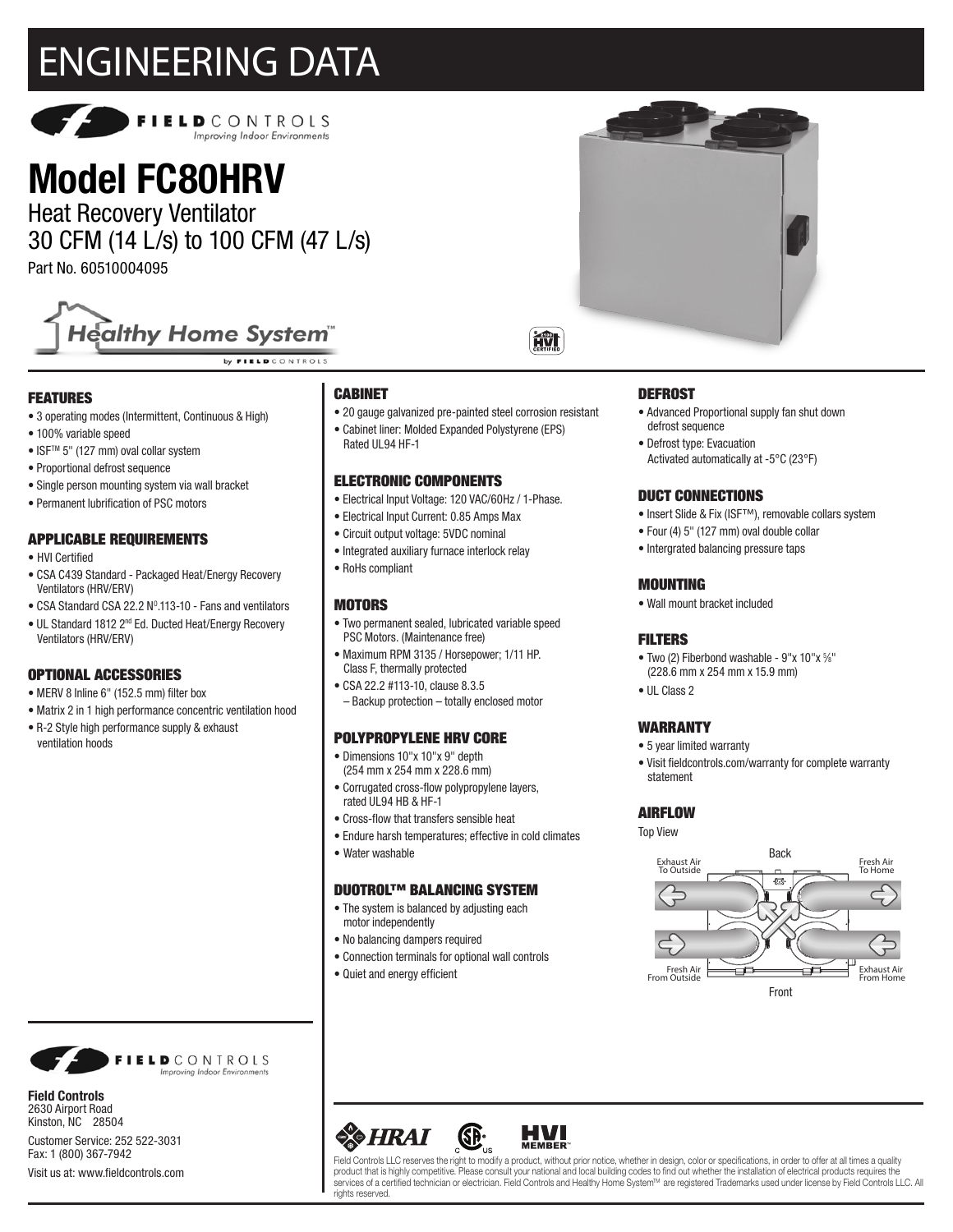# ENGINEERING DATA



## **Model FC80HRV**

Heat Recovery Ventilator 30 CFM (14 L/s) to 100 CFM (47 L/s)

Part No. 60510004095



by FIELD CONTROLS

#### FEATURES

- 3 operating modes (Intermittent, Continuous & High)
- 100% variable speed
- ISFTM 5" (127 mm) oval collar system
- Proportional defrost sequence
- Single person mounting system via wall bracket
- Permanent lubrification of PSC motors

#### APPLICABLE REQUIREMENTS

- HVI Certified
- CSA C439 Standard Packaged Heat/Energy Recovery Ventilators (HRV/ERV)
- CSA Standard CSA 22.2  $N^0.113$ -10 Fans and ventilators
- UL Standard 1812 2nd Ed. Ducted Heat/Energy Recovery Ventilators (HRV/ERV)

#### OPTIONAL ACCESSORIES

- MERV 8 Inline 6" (152.5 mm) filter box
- Matrix 2 in 1 high performance concentric ventilation hood
- R-2 Style high performance supply & exhaust ventilation hoods

#### CABINET

Rated UL94 HF-1

- 20 gauge galvanized pre-painted steel corrosion resistant
- Cabinet liner: Molded Expanded Polystyrene (EPS)

#### ELECTRONIC COMPONENTS

- Electrical Input Voltage: 120 VAC/60Hz / 1-Phase.
- Electrical Input Current: 0.85 Amps Max
- Circuit output voltage: 5VDC nominal
- Integrated auxiliary furnace interlock relay
- RoHs compliant

#### **MOTORS**

- Two permanent sealed, lubricated variable speed PSC Motors. (Maintenance free) • Maximum RPM 3135 / Horsepower; 1/11 HP.
- Class F, thermally protected
- CSA 22.2 #113-10, clause 8.3.5 – Backup protection – totally enclosed motor

### POLYPROPYLENE HRV CORE

- Dimensions 10"x 10"x 9" depth
- (254 mm x 254 mm x 228.6 mm) • Corrugated cross-flow polypropylene layers,
- rated UL94 HB & HF-1
- Cross-flow that transfers sensible heat
- Endure harsh temperatures; effective in cold climates
- Water washable

#### DUOTROL™ BALANCING SYSTEM

- The system is balanced by adjusting each motor independently
- No balancing dampers required
- Connection terminals for optional wall controls
- Quiet and energy efficient

#### **DEFROST**

- Advanced Proportional supply fan shut down defrost sequence
- Defrost type: Evacuation Activated automatically at -5°C (23°F)

#### DUCT CONNECTIONS

- Insert Slide & Fix (ISF™), removable collars system
- Four (4) 5" (127 mm) oval double collar
- Intergrated balancing pressure taps

#### MOUNTING

• Wall mount bracket included

#### FILTERS

- Two (2) Fiberbond washable 9"x 10"x %" (228.6 mm x 254 mm x 15.9 mm)
- UL Class 2

#### WARRANTY

- 5 year limited warranty
- Visit fieldcontrols.com/warranty for complete warranty statement

#### AIRFLOW

Top View





Field Controls LLC reserves the right to modify a product, without prior notice, whether in design, color or specifications, in order to offer at all times a quality<br>product that is highly competitive. Please consult your services of a certified technician or electrician. Field Controls and Healthy Home System<sup>M</sup> are registered Trademarks used under license by Field Controls LLC. All rights reserved



**Field Controls** 2630 Airport Road Kinston, NC 28504 Customer Service: 252 522-3031 Fax: 1 (800) 367-7942 Visit us at: www.fieldcontrols.com